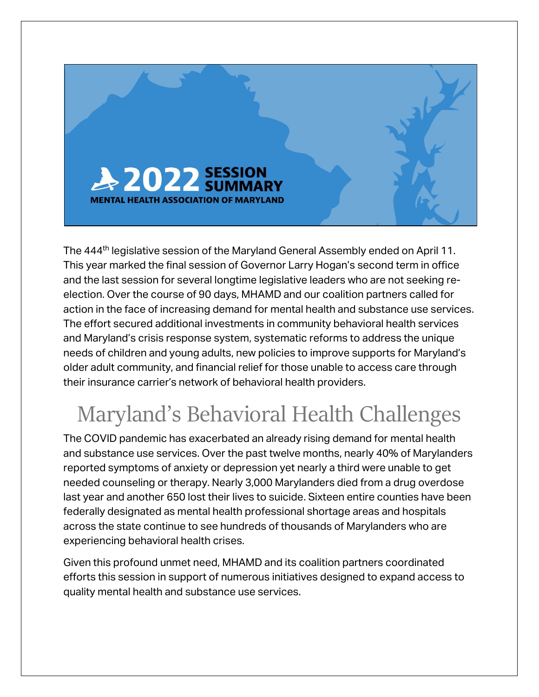

The 444<sup>th</sup> legislative session of the Maryland General Assembly ended on April 11. This year marked the final session of Governor Larry Hogan's second term in office and the last session for several longtime legislative leaders who are not seeking reelection. Over the course of 90 days, MHAMD and our coalition partners called for action in the face of increasing demand for mental health and substance use services. The effort secured additional investments in community behavioral health services and Maryland's crisis response system, systematic reforms to address the unique needs of children and young adults, new policies to improve supports for Maryland's older adult community, and financial relief for those unable to access care through their insurance carrier's network of behavioral health providers.

# Maryland's Behavioral Health Challenges

The COVID pandemic has exacerbated an already rising demand for mental health and substance use services. Over the past twelve months, nearly 40% of Marylanders reported symptoms of anxiety or depression yet nearly a third were unable to get needed counseling or therapy. Nearly 3,000 Marylanders died from a drug overdose last year and another 650 lost their lives to suicide. Sixteen entire counties have been federally designated as mental health professional shortage areas and hospitals across the state continue to see hundreds of thousands of Marylanders who are experiencing behavioral health crises.

Given this profound unmet need, MHAMD and its coalition partners coordinated efforts this session in support of numerous initiatives designed to expand access to quality mental health and substance use services.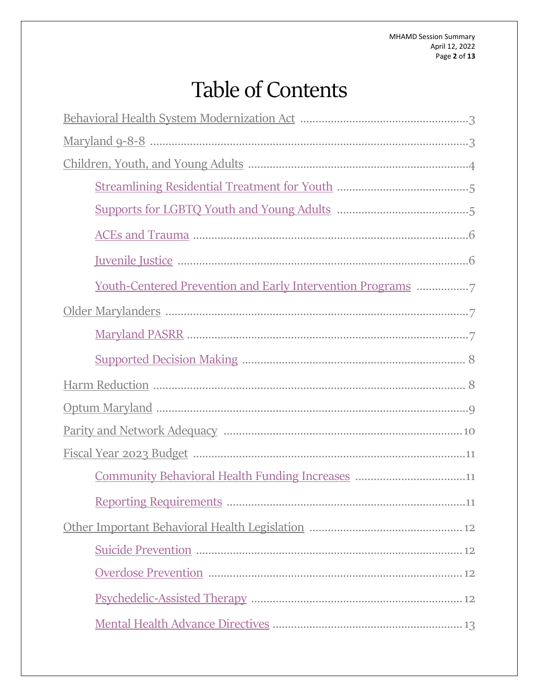# **Table of Contents**

| <u>Youth-Centered Prevention and Early Intervention Programs</u> |
|------------------------------------------------------------------|
|                                                                  |
|                                                                  |
|                                                                  |
|                                                                  |
|                                                                  |
|                                                                  |
|                                                                  |
| Community Behavioral Health Funding Increases 11                 |
| .11                                                              |
|                                                                  |
|                                                                  |
|                                                                  |
|                                                                  |
|                                                                  |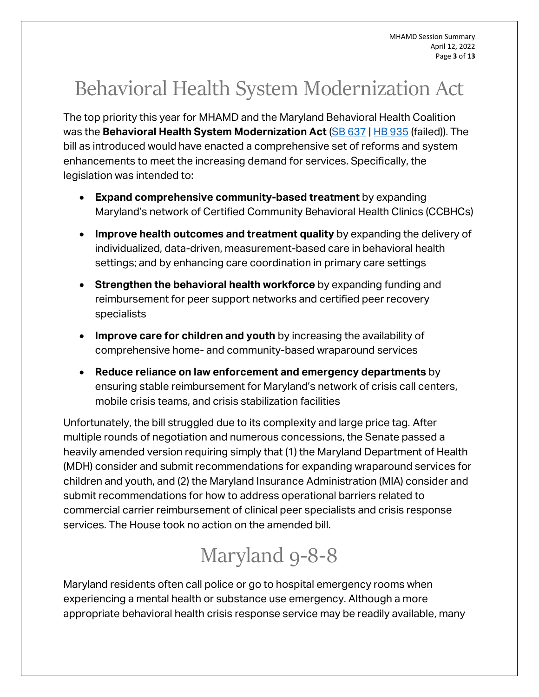MHAMD Session Summary April 12, 2022 Page **3** of **13**

# <span id="page-2-0"></span>Behavioral Health System Modernization Act

The top priority this year for MHAMD and the Maryland Behavioral Health Coalition was the **Behavioral Health System Modernization Act** [\(SB 637](https://mgaleg.maryland.gov/mgawebsite/Legislation/Details/sb0637) | [HB 935](https://mgaleg.maryland.gov/mgawebsite/Legislation/Details/HB0935?ys=2022RS) (failed)). The bill as introduced would have enacted a comprehensive set of reforms and system enhancements to meet the increasing demand for services. Specifically, the legislation was intended to:

- **Expand comprehensive community-based treatment** by expanding Maryland's network of Certified Community Behavioral Health Clinics (CCBHCs)
- **Improve health outcomes and treatment quality** by expanding the delivery of individualized, data-driven, measurement-based care in behavioral health settings; and by enhancing care coordination in primary care settings
- **Strengthen the behavioral health workforce** by expanding funding and reimbursement for peer support networks and certified peer recovery specialists
- **Improve care for children and youth** by increasing the availability of comprehensive home- and community-based wraparound services
- **Reduce reliance on law enforcement and emergency departments** by ensuring stable reimbursement for Maryland's network of crisis call centers, mobile crisis teams, and crisis stabilization facilities

Unfortunately, the bill struggled due to its complexity and large price tag. After multiple rounds of negotiation and numerous concessions, the Senate passed a heavily amended version requiring simply that (1) the Maryland Department of Health (MDH) consider and submit recommendations for expanding wraparound services for children and youth, and (2) the Maryland Insurance Administration (MIA) consider and submit recommendations for how to address operational barriers related to commercial carrier reimbursement of clinical peer specialists and crisis response services. The House took no action on the amended bill.

# Maryland 9-8-8

<span id="page-2-1"></span>Maryland residents often call police or go to hospital emergency rooms when experiencing a mental health or substance use emergency. Although a more appropriate behavioral health crisis response service may be readily available, many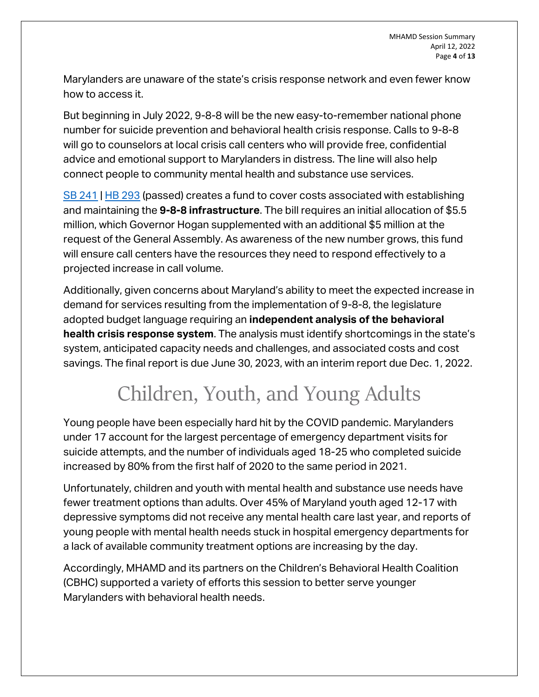Marylanders are unaware of the state's crisis response network and even fewer know how to access it.

But beginning in July 2022, 9-8-8 will be the new easy-to-remember national phone number for suicide prevention and behavioral health crisis response. Calls to 9-8-8 will go to counselors at local crisis call centers who will provide free, confidential advice and emotional support to Marylanders in distress. The line will also help connect people to community mental health and substance use services.

[SB 241](https://mgaleg.maryland.gov/mgawebsite/Legislation/Details/sb0241) | [HB 293](https://mgaleg.maryland.gov/mgawebsite/Legislation/Details/HB0293?ys=2022RS) (passed) creates a fund to cover costs associated with establishing and maintaining the **9-8-8 infrastructure**. The bill requires an initial allocation of \$5.5 million, which Governor Hogan supplemented with an additional \$5 million at the request of the General Assembly. As awareness of the new number grows, this fund will ensure call centers have the resources they need to respond effectively to a projected increase in call volume.

Additionally, given concerns about Maryland's ability to meet the expected increase in demand for services resulting from the implementation of 9-8-8, the legislature adopted budget language requiring an **independent analysis of the behavioral health crisis response system**. The analysis must identify shortcomings in the state's system, anticipated capacity needs and challenges, and associated costs and cost savings. The final report is due June 30, 2023, with an interim report due Dec. 1, 2022.

# Children, Youth, and Young Adults

<span id="page-3-0"></span>Young people have been especially hard hit by the COVID pandemic. Marylanders under 17 account for the largest percentage of emergency department visits for suicide attempts, and the number of individuals aged 18-25 who completed suicide increased by 80% from the first half of 2020 to the same period in 2021.

Unfortunately, children and youth with mental health and substance use needs have fewer treatment options than adults. Over 45% of Maryland youth aged 12-17 with depressive symptoms did not receive any mental health care last year, and reports of young people with mental health needs stuck in hospital emergency departments for a lack of available community treatment options are increasing by the day.

Accordingly, MHAMD and its partners on the Children's Behavioral Health Coalition (CBHC) supported a variety of efforts this session to better serve younger Marylanders with behavioral health needs.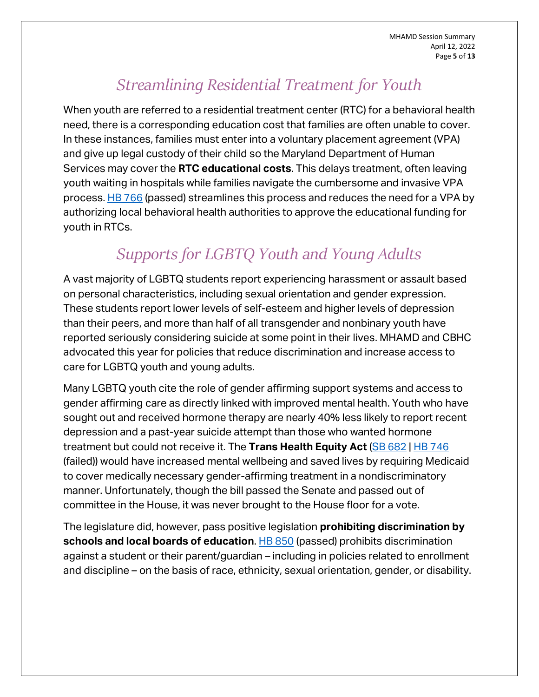MHAMD Session Summary April 12, 2022 Page **5** of **13**

### *Streamlining Residential Treatment for Youth*

<span id="page-4-0"></span>When youth are referred to a residential treatment center (RTC) for a behavioral health need, there is a corresponding education cost that families are often unable to cover. In these instances, families must enter into a voluntary placement agreement (VPA) and give up legal custody of their child so the Maryland Department of Human Services may cover the **RTC educational costs**. This delays treatment, often leaving youth waiting in hospitals while families navigate the cumbersome and invasive VPA process. [HB 766](https://mgaleg.maryland.gov/mgawebsite/Legislation/Details/HB0766?ys=2022RS) (passed) streamlines this process and reduces the need for a VPA by authorizing local behavioral health authorities to approve the educational funding for youth in RTCs.

### *Supports for LGBTQ Youth and Young Adults*

<span id="page-4-1"></span>A vast majority of LGBTQ students report experiencing harassment or assault based on personal characteristics, including sexual orientation and gender expression. These students report lower levels of self-esteem and higher levels of depression than their peers, and more than half of all transgender and nonbinary youth have reported seriously considering suicide at some point in their lives. MHAMD and CBHC advocated this year for policies that reduce discrimination and increase access to care for LGBTQ youth and young adults.

Many LGBTQ youth cite the role of gender affirming support systems and access to gender affirming care as directly linked with improved mental health. Youth who have sought out and received hormone therapy are nearly 40% less likely to report recent depression and a past-year suicide attempt than those who wanted hormone treatment but could not receive it. The **Trans Health Equity Act** [\(SB 682](https://mgaleg.maryland.gov/mgawebsite/Legislation/Details/sb0682) | [HB 746](https://mgaleg.maryland.gov/mgawebsite/Legislation/Details/HB0746?ys=2022RS) (failed)) would have increased mental wellbeing and saved lives by requiring Medicaid to cover medically necessary gender-affirming treatment in a nondiscriminatory manner. Unfortunately, though the bill passed the Senate and passed out of committee in the House, it was never brought to the House floor for a vote.

The legislature did, however, pass positive legislation **prohibiting discrimination by schools and local boards of education.** [HB 850](https://mgaleg.maryland.gov/mgawebsite/Legislation/Details/HB0850?ys=2022RS) (passed) prohibits discrimination against a student or their parent/guardian – including in policies related to enrollment and discipline – on the basis of race, ethnicity, sexual orientation, gender, or disability.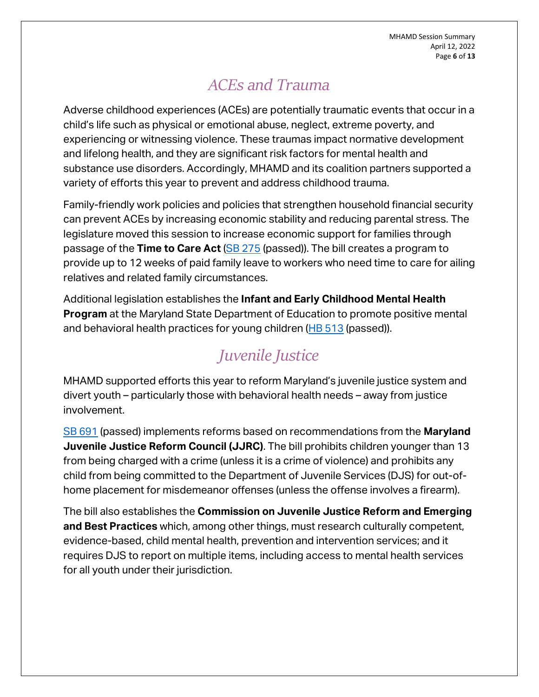MHAMD Session Summary April 12, 2022 Page **6** of **13**

### *ACEs and Trauma*

<span id="page-5-0"></span>Adverse childhood experiences (ACEs) are potentially traumatic events that occur in a child's life such as physical or emotional abuse, neglect, extreme poverty, and experiencing or witnessing violence. These traumas impact normative development and lifelong health, and they are significant risk factors for mental health and substance use disorders. Accordingly, MHAMD and its coalition partners supported a variety of efforts this year to prevent and address childhood trauma.

Family-friendly work policies and policies that strengthen household financial security can prevent ACEs by increasing economic stability and reducing parental stress. The legislature moved this session to increase economic support for families through passage of the **Time to Care Act** [\(SB 275](https://mgaleg.maryland.gov/mgawebsite/Legislation/Details/sb0275) (passed)). The bill creates a program to provide up to 12 weeks of paid family leave to workers who need time to care for ailing relatives and related family circumstances.

Additional legislation establishes the **Infant and Early Childhood Mental Health Program** at the Maryland State Department of Education to promote positive mental and behavioral health practices for young children  $(HB 513$  (passed)).

### *Juvenile Justice*

<span id="page-5-1"></span>MHAMD supported efforts this year to reform Maryland's juvenile justice system and divert youth – particularly those with behavioral health needs – away from justice involvement.

[SB 691](https://mgaleg.maryland.gov/mgawebsite/Legislation/Details/sb0691) (passed) implements reforms based on recommendations from the **Maryland Juvenile Justice Reform Council (JJRC)**. The bill prohibits children younger than 13 from being charged with a crime (unless it is a crime of violence) and prohibits any child from being committed to the Department of Juvenile Services (DJS) for out-ofhome placement for misdemeanor offenses (unless the offense involves a firearm).

The bill also establishes the **Commission on Juvenile Justice Reform and Emerging and Best Practices** which, among other things, must research culturally competent, evidence-based, child mental health, prevention and intervention services; and it requires DJS to report on multiple items, including access to mental health services for all youth under their jurisdiction.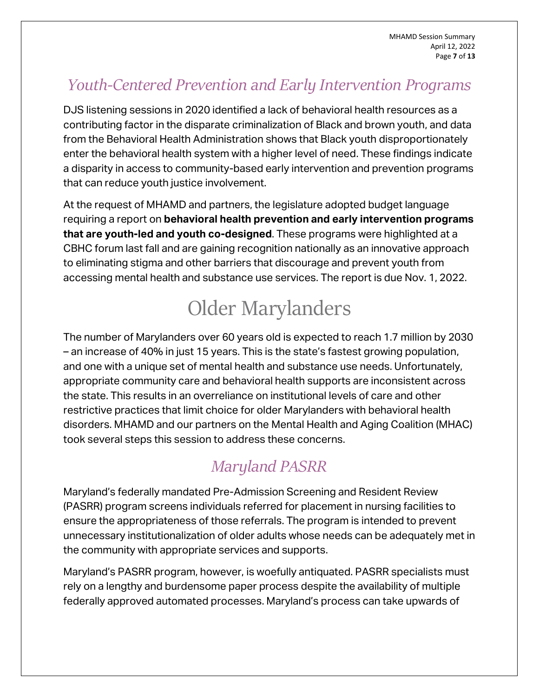### <span id="page-6-0"></span>*Youth-Centered Prevention and Early Intervention Programs*

DJS listening sessions in 2020 identified a lack of behavioral health resources as a contributing factor in the disparate criminalization of Black and brown youth, and data from the Behavioral Health Administration shows that Black youth disproportionately enter the behavioral health system with a higher level of need. These findings indicate a disparity in access to community-based early intervention and prevention programs that can reduce youth justice involvement.

At the request of MHAMD and partners, the legislature adopted budget language requiring a report on **behavioral health prevention and early intervention programs that are youth-led and youth co-designed**. These programs were highlighted at a CBHC forum last fall and are gaining recognition nationally as an innovative approach to eliminating stigma and other barriers that discourage and prevent youth from accessing mental health and substance use services. The report is due Nov. 1, 2022.

# Older Marylanders

<span id="page-6-1"></span>The number of Marylanders over 60 years old is expected to reach 1.7 million by 2030 – an increase of 40% in just 15 years. This is the state's fastest growing population, and one with a unique set of mental health and substance use needs. Unfortunately, appropriate community care and behavioral health supports are inconsistent across the state. This results in an overreliance on institutional levels of care and other restrictive practices that limit choice for older Marylanders with behavioral health disorders. MHAMD and our partners on the Mental Health and Aging Coalition (MHAC) took several steps this session to address these concerns.

### *Maryland PASRR*

<span id="page-6-2"></span>Maryland's federally mandated Pre-Admission Screening and Resident Review (PASRR) program screens individuals referred for placement in nursing facilities to ensure the appropriateness of those referrals. The program is intended to prevent unnecessary institutionalization of older adults whose needs can be adequately met in the community with appropriate services and supports.

Maryland's PASRR program, however, is woefully antiquated. PASRR specialists must rely on a lengthy and burdensome paper process despite the availability of multiple federally approved automated processes. Maryland's process can take upwards of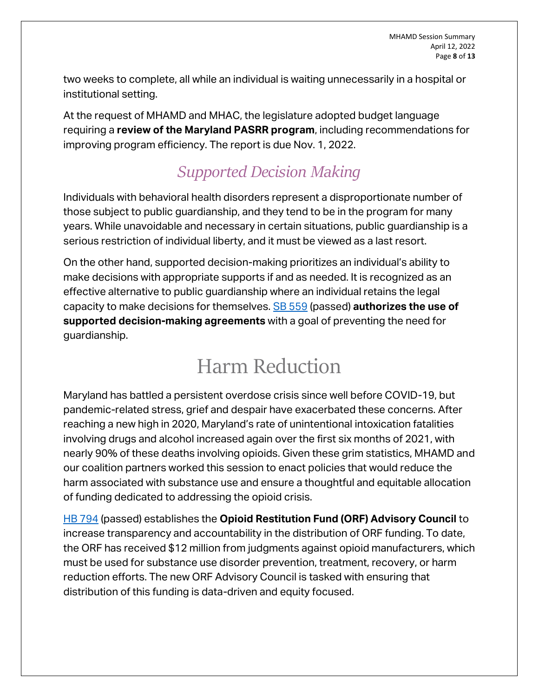MHAMD Session Summary April 12, 2022 Page **8** of **13**

two weeks to complete, all while an individual is waiting unnecessarily in a hospital or institutional setting.

At the request of MHAMD and MHAC, the legislature adopted budget language requiring a **review of the Maryland PASRR program**, including recommendations for improving program efficiency. The report is due Nov. 1, 2022.

### *Supported Decision Making*

<span id="page-7-0"></span>Individuals with behavioral health disorders represent a disproportionate number of those subject to public guardianship, and they tend to be in the program for many years. While unavoidable and necessary in certain situations, public guardianship is a serious restriction of individual liberty, and it must be viewed as a last resort.

On the other hand, supported decision-making prioritizes an individual's ability to make decisions with appropriate supports if and as needed. It is recognized as an effective alternative to public guardianship where an individual retains the legal capacity to make decisions for themselves. [SB 559](https://mgaleg.maryland.gov/mgawebsite/Legislation/Details/sb0559) (passed) **authorizes the use of supported decision-making agreements** with a goal of preventing the need for guardianship.

### Harm Reduction

<span id="page-7-1"></span>Maryland has battled a persistent overdose crisis since well before COVID-19, but pandemic-related stress, grief and despair have exacerbated these concerns. After reaching a new high in 2020, Maryland's rate of unintentional intoxication fatalities involving drugs and alcohol increased again over the first six months of 2021, with nearly 90% of these deaths involving opioids. Given these grim statistics, MHAMD and our coalition partners worked this session to enact policies that would reduce the harm associated with substance use and ensure a thoughtful and equitable allocation of funding dedicated to addressing the opioid crisis.

[HB 794](https://mgaleg.maryland.gov/mgawebsite/Legislation/Details/hb0794) (passed) establishes the **Opioid Restitution Fund (ORF) Advisory Council** to increase transparency and accountability in the distribution of ORF funding. To date, the ORF has received \$12 million from judgments against opioid manufacturers, which must be used for substance use disorder prevention, treatment, recovery, or harm reduction efforts. The new ORF Advisory Council is tasked with ensuring that distribution of this funding is data-driven and equity focused.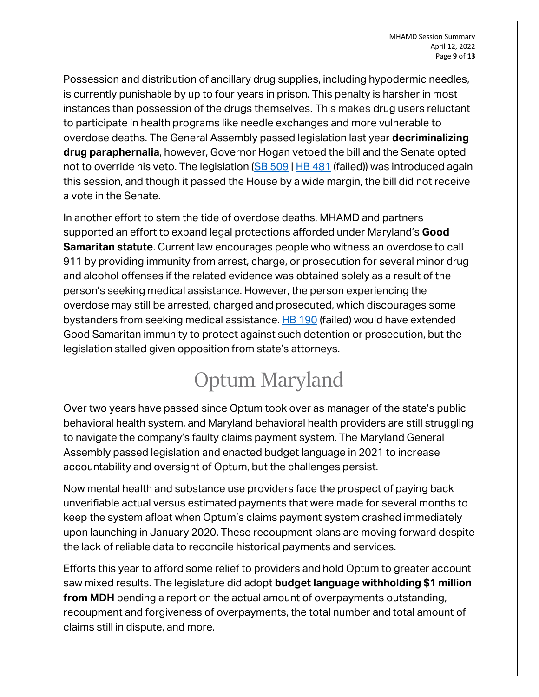Possession and distribution of ancillary drug supplies, including hypodermic needles, is currently punishable by up to four years in prison. This penalty is harsher in most instances than possession of the drugs themselves. This makes drug users reluctant to participate in health programs like needle exchanges and more vulnerable to overdose deaths. The General Assembly passed legislation last year **decriminalizing drug paraphernalia**, however, Governor Hogan vetoed the bill and the Senate opted not to override his veto. The legislation [\(SB 509](https://mgaleg.maryland.gov/mgawebsite/Legislation/Details/sb0509) | [HB 481](https://mgaleg.maryland.gov/mgawebsite/Legislation/Details/HB0481?ys=2022RS) (failed)) was introduced again this session, and though it passed the House by a wide margin, the bill did not receive a vote in the Senate.

In another effort to stem the tide of overdose deaths, MHAMD and partners supported an effort to expand legal protections afforded under Maryland's **Good Samaritan statute**. Current law encourages people who witness an overdose to call 911 by providing immunity from arrest, charge, or prosecution for several minor drug and alcohol offenses if the related evidence was obtained solely as a result of the person's seeking medical assistance. However, the person experiencing the overdose may still be arrested, charged and prosecuted, which discourages some bystanders from seeking medical assistance. [HB 190](https://mgaleg.maryland.gov/mgawebsite/Legislation/Details/hb0190) (failed) would have extended Good Samaritan immunity to protect against such detention or prosecution, but the legislation stalled given opposition from state's attorneys.

## Optum Maryland

<span id="page-8-0"></span>Over two years have passed since Optum took over as manager of the state's public behavioral health system, and Maryland behavioral health providers are still struggling to navigate the company's faulty claims payment system. The Maryland General Assembly passed legislation and enacted budget language in 2021 to increase accountability and oversight of Optum, but the challenges persist.

Now mental health and substance use providers face the prospect of paying back unverifiable actual versus estimated payments that were made for several months to keep the system afloat when Optum's claims payment system crashed immediately upon launching in January 2020. These recoupment plans are moving forward despite the lack of reliable data to reconcile historical payments and services.

Efforts this year to afford some relief to providers and hold Optum to greater account saw mixed results. The legislature did adopt **budget language withholding \$1 million from MDH** pending a report on the actual amount of overpayments outstanding, recoupment and forgiveness of overpayments, the total number and total amount of claims still in dispute, and more.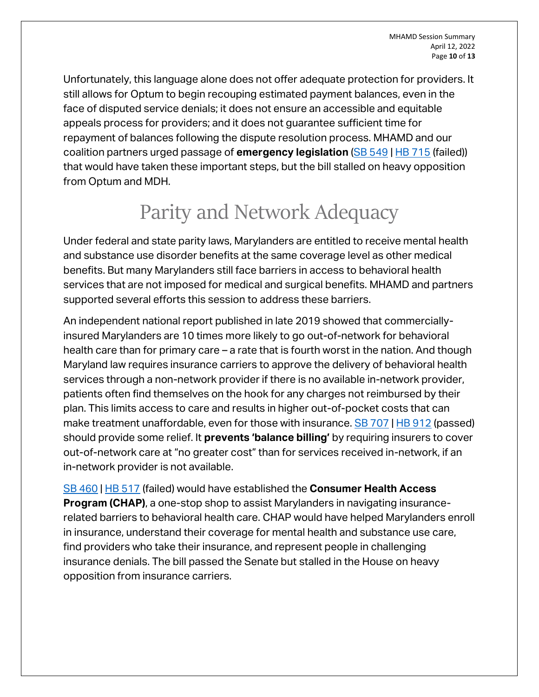Unfortunately, this language alone does not offer adequate protection for providers. It still allows for Optum to begin recouping estimated payment balances, even in the face of disputed service denials; it does not ensure an accessible and equitable appeals process for providers; and it does not guarantee sufficient time for repayment of balances following the dispute resolution process. MHAMD and our coalition partners urged passage of **emergency legislation** [\(SB 549](https://mgaleg.maryland.gov/mgawebsite/Legislation/Details/SB0549?ys=2022RS) | [HB 715](https://mgaleg.maryland.gov/mgawebsite/Legislation/Details/HB0715?ys=2022RS) (failed)) that would have taken these important steps, but the bill stalled on heavy opposition from Optum and MDH.

## Parity and Network Adequacy

<span id="page-9-0"></span>Under federal and state parity laws, Marylanders are entitled to receive mental health and substance use disorder benefits at the same coverage level as other medical benefits. But many Marylanders still face barriers in access to behavioral health services that are not imposed for medical and surgical benefits. MHAMD and partners supported several efforts this session to address these barriers.

An independent national report published in late 2019 showed that commerciallyinsured Marylanders are 10 times more likely to go out-of-network for behavioral health care than for primary care – a rate that is fourth worst in the nation. And though Maryland law requires insurance carriers to approve the delivery of behavioral health services through a non-network provider if there is no available in-network provider, patients often find themselves on the hook for any charges not reimbursed by their plan. This limits access to care and results in higher out-of-pocket costs that can make treatment unaffordable, even for those with insurance. [SB 707](https://mgaleg.maryland.gov/mgawebsite/Legislation/Details/SB0707?ys=2022RS) | [HB 912](https://mgaleg.maryland.gov/mgawebsite/Legislation/Details/hb0912) (passed) should provide some relief. It **prevents 'balance billing'** by requiring insurers to cover out-of-network care at "no greater cost" than for services received in-network, if an in-network provider is not available.

[SB 460](https://mgaleg.maryland.gov/mgawebsite/Legislation/Details/sb0460) | [HB 517](https://mgaleg.maryland.gov/mgawebsite/Legislation/Details/HB0517?ys=2022RS) (failed) would have established the **Consumer Health Access Program (CHAP)**, a one-stop shop to assist Marylanders in navigating insurancerelated barriers to behavioral health care. CHAP would have helped Marylanders enroll in insurance, understand their coverage for mental health and substance use care, find providers who take their insurance, and represent people in challenging insurance denials. The bill passed the Senate but stalled in the House on heavy opposition from insurance carriers.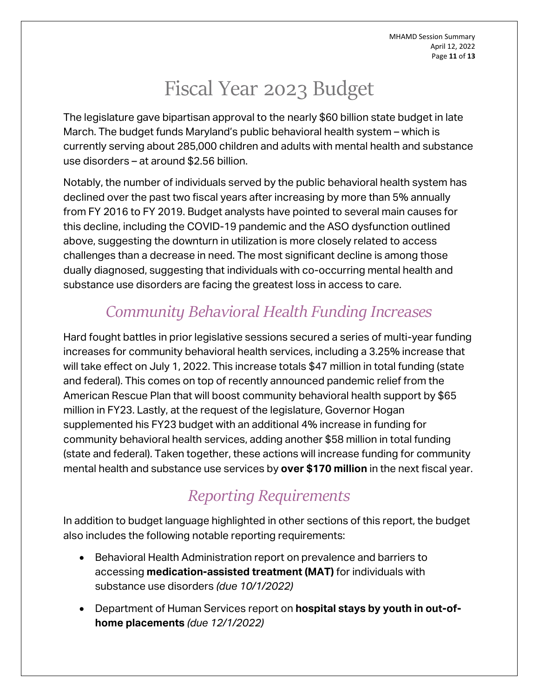MHAMD Session Summary April 12, 2022 Page **11** of **13**

## Fiscal Year 2023 Budget

<span id="page-10-0"></span>The legislature gave bipartisan approval to the nearly \$60 billion state budget in late March. The budget funds Maryland's public behavioral health system – which is currently serving about 285,000 children and adults with mental health and substance use disorders – at around \$2.56 billion.

Notably, the number of individuals served by the public behavioral health system has declined over the past two fiscal years after increasing by more than 5% annually from FY 2016 to FY 2019. Budget analysts have pointed to several main causes for this decline, including the COVID-19 pandemic and the ASO dysfunction outlined above, suggesting the downturn in utilization is more closely related to access challenges than a decrease in need. The most significant decline is among those dually diagnosed, suggesting that individuals with co-occurring mental health and substance use disorders are facing the greatest loss in access to care.

### *Community Behavioral Health Funding Increases*

<span id="page-10-1"></span>Hard fought battles in prior legislative sessions secured a series of multi-year funding increases for community behavioral health services, including a 3.25% increase that will take effect on July 1, 2022. This increase totals \$47 million in total funding (state and federal). This comes on top of recently announced pandemic relief from the American Rescue Plan that will boost community behavioral health support by \$65 million in FY23. Lastly, at the request of the legislature, Governor Hogan supplemented his FY23 budget with an additional 4% increase in funding for community behavioral health services, adding another \$58 million in total funding (state and federal). Taken together, these actions will increase funding for community mental health and substance use services by **over \$170 million** in the next fiscal year.

### *Reporting Requirements*

<span id="page-10-2"></span>In addition to budget language highlighted in other sections of this report, the budget also includes the following notable reporting requirements:

- Behavioral Health Administration report on prevalence and barriers to accessing **medication-assisted treatment (MAT)** for individuals with substance use disorders *(due 10/1/2022)*
- Department of Human Services report on **hospital stays by youth in out-ofhome placements** *(due 12/1/2022)*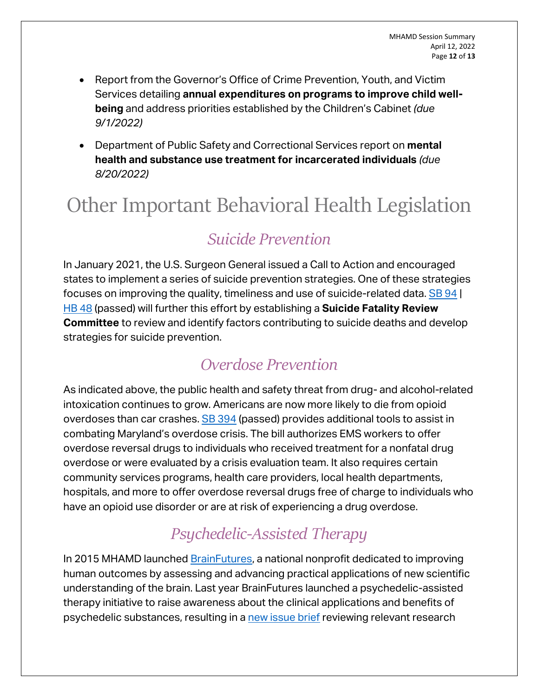- Report from the Governor's Office of Crime Prevention, Youth, and Victim Services detailing **annual expenditures on programs to improve child wellbeing** and address priorities established by the Children's Cabinet *(due 9/1/2022)*
- Department of Public Safety and Correctional Services report on **mental health and substance use treatment for incarcerated individuals** *(due 8/20/2022)*

# <span id="page-11-0"></span>Other Important Behavioral Health Legislation

### *Suicide Prevention*

<span id="page-11-1"></span>In January 2021, the U.S. Surgeon General issued a Call to Action and encouraged states to implement a series of suicide prevention strategies. One of these strategies focuses on improving the quality, timeliness and use of suicide-related data. [SB 94](https://mgaleg.maryland.gov/mgawebsite/Legislation/Details/sb0094) | [HB 48](https://mgaleg.maryland.gov/mgawebsite/Legislation/Details/HB0048?ys=2022RS) (passed) will further this effort by establishing a **Suicide Fatality Review Committee** to review and identify factors contributing to suicide deaths and develop strategies for suicide prevention.

#### *Overdose Prevention*

<span id="page-11-2"></span>As indicated above, the public health and safety threat from drug- and alcohol-related intoxication continues to grow. Americans are now more likely to die from opioid overdoses than car crashes. [SB 394](https://mgaleg.maryland.gov/mgawebsite/Legislation/Details/sb0394) (passed) provides additional tools to assist in combating Maryland's overdose crisis. The bill authorizes EMS workers to offer overdose reversal drugs to individuals who received treatment for a nonfatal drug overdose or were evaluated by a crisis evaluation team. It also requires certain community services programs, health care providers, local health departments, hospitals, and more to offer overdose reversal drugs free of charge to individuals who have an opioid use disorder or are at risk of experiencing a drug overdose.

### *Psychedelic-Assisted Therapy*

<span id="page-11-3"></span>In 2015 MHAMD launched [BrainFutures,](https://www.brainfutures.org/) a national nonprofit dedicated to improving human outcomes by assessing and advancing practical applications of new scientific understanding of the brain. Last year BrainFutures launched a psychedelic-assisted therapy initiative to raise awareness about the clinical applications and benefits of psychedelic substances, resulting in [a new issue brief](https://www.brainfutures.org/mental-health-treatment/patevidence/) reviewing relevant research